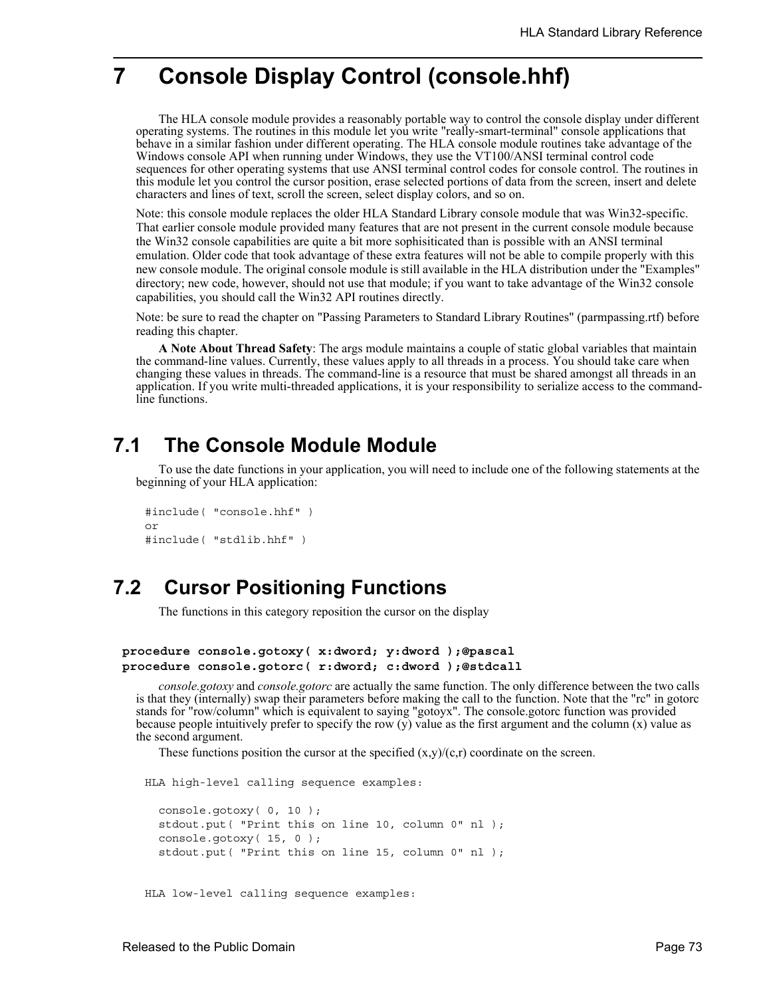# **7 Console Display Control (console.hhf)**

The HLA console module provides a reasonably portable way to control the console display under different operating systems. The routines in this module let you write "really-smart-terminal" console applications that behave in a similar fashion under different operating. The HLA console module routines take advantage of the Windows console API when running under Windows, they use the VT100/ANSI terminal control code sequences for other operating systems that use ANSI terminal control codes for console control. The routines in this module let you control the cursor position, erase selected portions of data from the screen, insert and delete characters and lines of text, scroll the screen, select display colors, and so on.

Note: this console module replaces the older HLA Standard Library console module that was Win32-specific. That earlier console module provided many features that are not present in the current console module because the Win32 console capabilities are quite a bit more sophisiticated than is possible with an ANSI terminal emulation. Older code that took advantage of these extra features will not be able to compile properly with this new console module. The original console module is still available in the HLA distribution under the "Examples" directory; new code, however, should not use that module; if you want to take advantage of the Win32 console capabilities, you should call the Win32 API routines directly.

Note: be sure to read the chapter on "Passing Parameters to Standard Library Routines" (parmpassing.rtf) before reading this chapter.

**A Note About Thread Safety**: The args module maintains a couple of static global variables that maintain the command-line values. Currently, these values apply to all threads in a process. You should take care when changing these values in threads. The command-line is a resource that must be shared amongst all threads in an application. If you write multi-threaded applications, it is your responsibility to serialize access to the commandline functions.

## **7.1 The Console Module Module**

To use the date functions in your application, you will need to include one of the following statements at the beginning of your HLA application:

```
#include( "console.hhf" )
or
#include( "stdlib.hhf" )
```
# **7.2 Cursor Positioning Functions**

The functions in this category reposition the cursor on the display

```
procedure console.gotoxy( x:dword; y:dword );@pascal
procedure console.gotorc( r:dword; c:dword );@stdcall
```
*console.gotoxy* and *console.gotorc* are actually the same function. The only difference between the two calls is that they (internally) swap their parameters before making the call to the function. Note that the "rc" in gotorc stands for "row/column" which is equivalent to saying "gotoyx". The console.gotorc function was provided because people intuitively prefer to specify the row (y) value as the first argument and the column (x) value as the second argument.

These functions position the cursor at the specified  $(x,y)/(c,r)$  coordinate on the screen.

HLA high-level calling sequence examples:

```
console.gotoxy( 0, 10 );
stdout.put( "Print this on line 10, column 0" nl );
console.gotoxy( 15, 0 );
stdout.put( "Print this on line 15, column 0" nl );
```
HLA low-level calling sequence examples: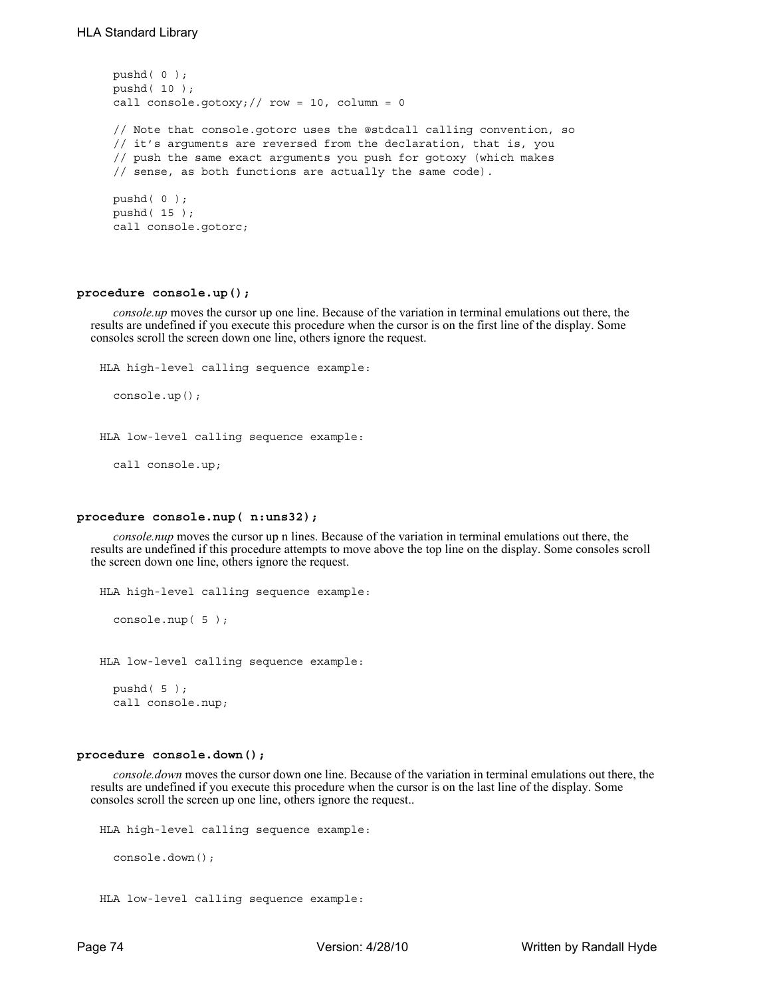```
pushd( 0 );
pushd( 10 );
call console.gotoxy; // row = 10, column = 0
// Note that console.gotorc uses the @stdcall calling convention, so
// it's arguments are reversed from the declaration, that is, you
// push the same exact arguments you push for gotoxy (which makes
// sense, as both functions are actually the same code).
pushd( 0 );
pushd( 15 );
call console.gotorc;
```
#### **procedure console.up();**

*console.up* moves the cursor up one line. Because of the variation in terminal emulations out there, the results are undefined if you execute this procedure when the cursor is on the first line of the display. Some consoles scroll the screen down one line, others ignore the request.

```
HLA high-level calling sequence example:
  console.up();
HLA low-level calling sequence example:
  call console.up;
```
## **procedure console.nup( n:uns32);**

*console.nup* moves the cursor up n lines. Because of the variation in terminal emulations out there, the results are undefined if this procedure attempts to move above the top line on the display. Some consoles scroll the screen down one line, others ignore the request.

```
HLA high-level calling sequence example:
  console.nup( 5 );
HLA low-level calling sequence example:
```
pushd( 5 ); call console.nup;

### **procedure console.down();**

*console.down* moves the cursor down one line. Because of the variation in terminal emulations out there, the results are undefined if you execute this procedure when the cursor is on the last line of the display. Some consoles scroll the screen up one line, others ignore the request..

```
HLA high-level calling sequence example:
  console.down();
HLA low-level calling sequence example:
```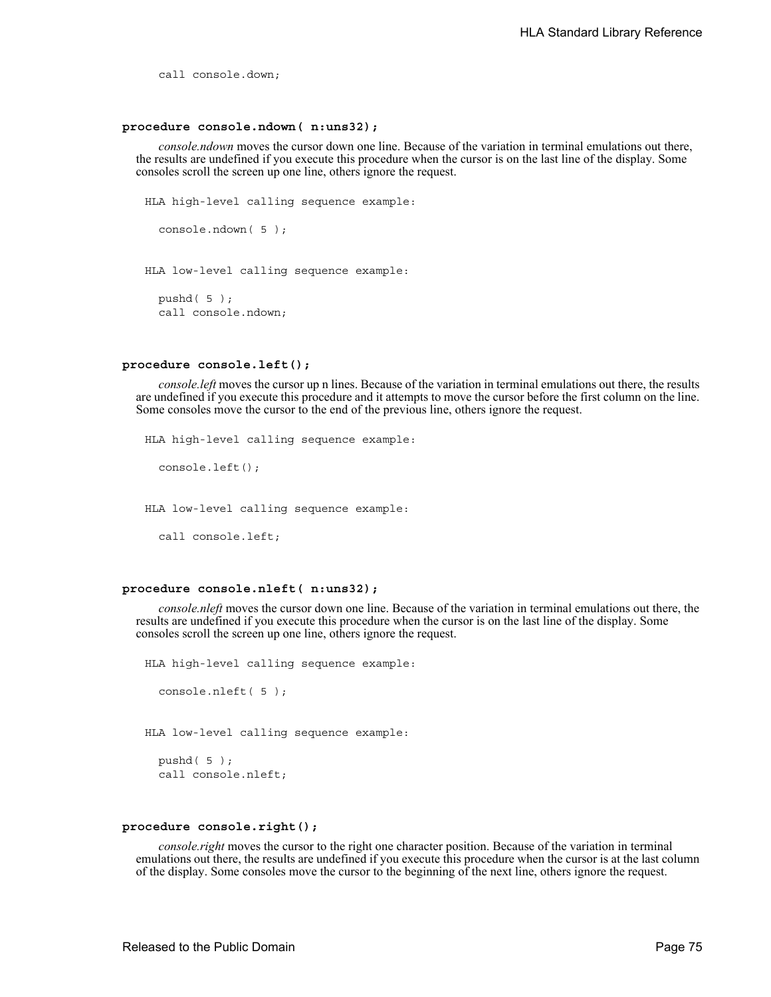call console.down;

#### **procedure console.ndown( n:uns32);**

*console.ndown* moves the cursor down one line. Because of the variation in terminal emulations out there, the results are undefined if you execute this procedure when the cursor is on the last line of the display. Some consoles scroll the screen up one line, others ignore the request.

```
HLA high-level calling sequence example:
  console.ndown( 5 );
HLA low-level calling sequence example:
  pushd( 5 );
  call console.ndown;
```
#### **procedure console.left();**

*console.left* moves the cursor up n lines. Because of the variation in terminal emulations out there, the results are undefined if you execute this procedure and it attempts to move the cursor before the first column on the line. Some consoles move the cursor to the end of the previous line, others ignore the request.

```
HLA high-level calling sequence example:
```
console.left();

HLA low-level calling sequence example:

call console.left;

### **procedure console.nleft( n:uns32);**

*console.nleft* moves the cursor down one line. Because of the variation in terminal emulations out there, the results are undefined if you execute this procedure when the cursor is on the last line of the display. Some consoles scroll the screen up one line, others ignore the request.

HLA high-level calling sequence example:

```
console.nleft( 5 );
```
HLA low-level calling sequence example:

```
pushd( 5 );
call console.nleft;
```
#### **procedure console.right();**

*console.right* moves the cursor to the right one character position. Because of the variation in terminal emulations out there, the results are undefined if you execute this procedure when the cursor is at the last column of the display. Some consoles move the cursor to the beginning of the next line, others ignore the request.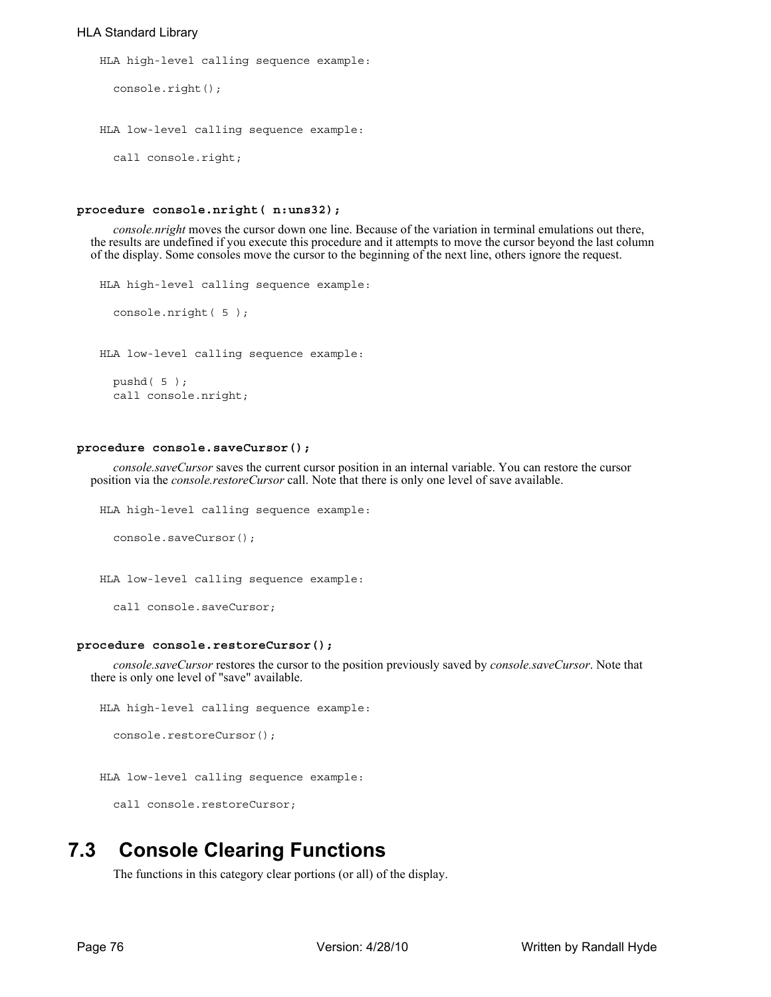## HLA Standard Library

```
HLA high-level calling sequence example:
  console.right();
HLA low-level calling sequence example:
  call console.right;
```
## **procedure console.nright( n:uns32);**

*console.nright* moves the cursor down one line. Because of the variation in terminal emulations out there, the results are undefined if you execute this procedure and it attempts to move the cursor beyond the last column of the display. Some consoles move the cursor to the beginning of the next line, others ignore the request.

```
HLA high-level calling sequence example:
  console.nright( 5 );
HLA low-level calling sequence example:
  pushd( 5 );
  call console.nright;
```
#### **procedure console.saveCursor();**

*console.saveCursor* saves the current cursor position in an internal variable. You can restore the cursor position via the *console.restoreCursor* call. Note that there is only one level of save available.

```
HLA high-level calling sequence example:
```

```
console.saveCursor();
```
HLA low-level calling sequence example:

```
call console.saveCursor;
```
#### **procedure console.restoreCursor();**

*console.saveCursor* restores the cursor to the position previously saved by *console.saveCursor*. Note that there is only one level of "save" available.

```
HLA high-level calling sequence example:
```
console.restoreCursor();

```
HLA low-level calling sequence example:
```
call console.restoreCursor;

# **7.3 Console Clearing Functions**

The functions in this category clear portions (or all) of the display.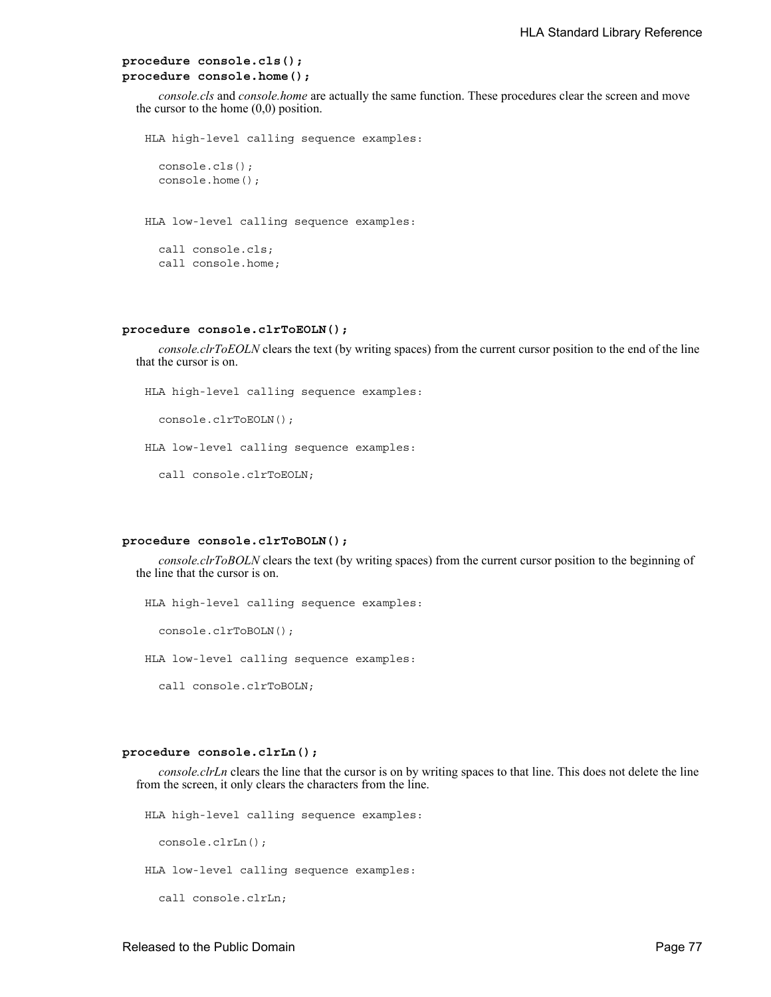```
procedure console.cls();
procedure console.home();
```
*console.cls* and *console.home* are actually the same function. These procedures clear the screen and move the cursor to the home  $(0,0)$  position.

HLA high-level calling sequence examples:

```
console.cls();
console.home();
```
HLA low-level calling sequence examples:

call console.cls; call console.home;

#### **procedure console.clrToEOLN();**

*console.clrToEOLN* clears the text (by writing spaces) from the current cursor position to the end of the line that the cursor is on.

HLA high-level calling sequence examples:

```
console.clrToEOLN();
```
HLA low-level calling sequence examples:

call console.clrToEOLN;

#### **procedure console.clrToBOLN();**

*console.clrToBOLN* clears the text (by writing spaces) from the current cursor position to the beginning of the line that the cursor is on.

HLA high-level calling sequence examples:

console.clrToBOLN();

HLA low-level calling sequence examples:

call console.clrToBOLN;

#### **procedure console.clrLn();**

*console.clrLn* clears the line that the cursor is on by writing spaces to that line. This does not delete the line from the screen, it only clears the characters from the line.

HLA high-level calling sequence examples:

console.clrLn();

HLA low-level calling sequence examples:

call console.clrLn;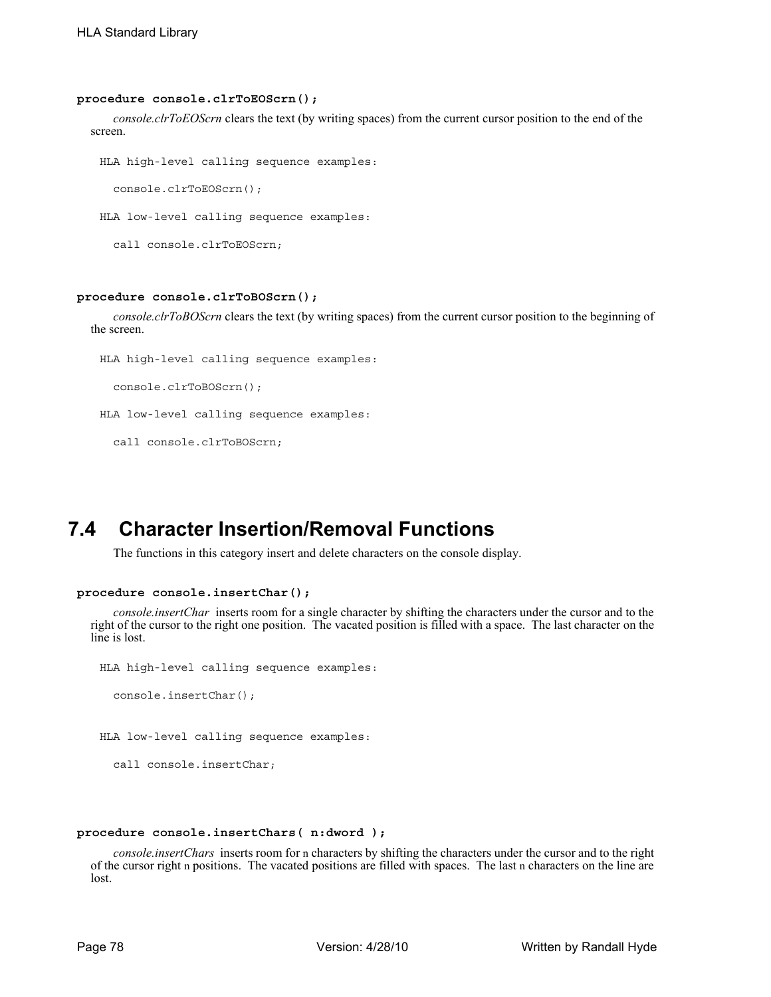#### **procedure console.clrToEOScrn();**

*console.clrToEOScrn* clears the text (by writing spaces) from the current cursor position to the end of the screen.

```
HLA high-level calling sequence examples:
  console.clrToEOScrn();
```
HLA low-level calling sequence examples:

```
call console.clrToEOScrn;
```
### **procedure console.clrToBOScrn();**

*console.clrToBOScrn* clears the text (by writing spaces) from the current cursor position to the beginning of the screen.

```
HLA high-level calling sequence examples:
```
console.clrToBOScrn();

HLA low-level calling sequence examples:

call console.clrToBOScrn;

# **7.4 Character Insertion/Removal Functions**

The functions in this category insert and delete characters on the console display.

#### **procedure console.insertChar();**

call console.insertChar;

*console.insertChar* inserts room for a single character by shifting the characters under the cursor and to the right of the cursor to the right one position. The vacated position is filled with a space. The last character on the line is lost.

```
HLA high-level calling sequence examples:
  console.insertChar();
HLA low-level calling sequence examples:
```
## **procedure console.insertChars( n:dword );**

*console.insertChars* inserts room for n characters by shifting the characters under the cursor and to the right of the cursor right n positions. The vacated positions are filled with spaces. The last n characters on the line are lost.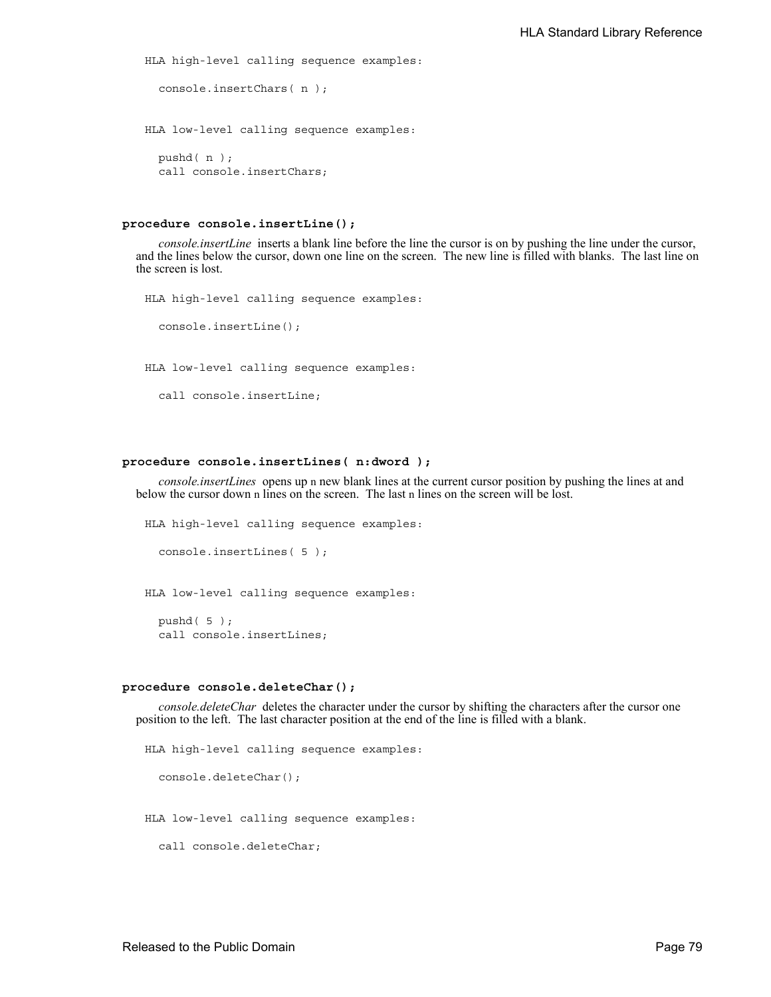```
HLA high-level calling sequence examples:
  console.insertChars( n );
HLA low-level calling sequence examples:
  pushd( n );
  call console.insertChars;
```
#### **procedure console.insertLine();**

*console.insertLine* inserts a blank line before the line the cursor is on by pushing the line under the cursor, and the lines below the cursor, down one line on the screen. The new line is filled with blanks. The last line on the screen is lost.

```
HLA high-level calling sequence examples:
  console.insertLine();
HLA low-level calling sequence examples:
  call console.insertLine;
```
### **procedure console.insertLines( n:dword );**

*console.insertLines* opens up n new blank lines at the current cursor position by pushing the lines at and below the cursor down n lines on the screen. The last n lines on the screen will be lost.

```
HLA high-level calling sequence examples:
  console.insertLines( 5 );
HLA low-level calling sequence examples:
```
pushd( 5 );

call console.insertLines;

#### **procedure console.deleteChar();**

*console.deleteChar* deletes the character under the cursor by shifting the characters after the cursor one position to the left. The last character position at the end of the line is filled with a blank.

```
HLA high-level calling sequence examples:
  console.deleteChar();
HLA low-level calling sequence examples:
  call console.deleteChar;
```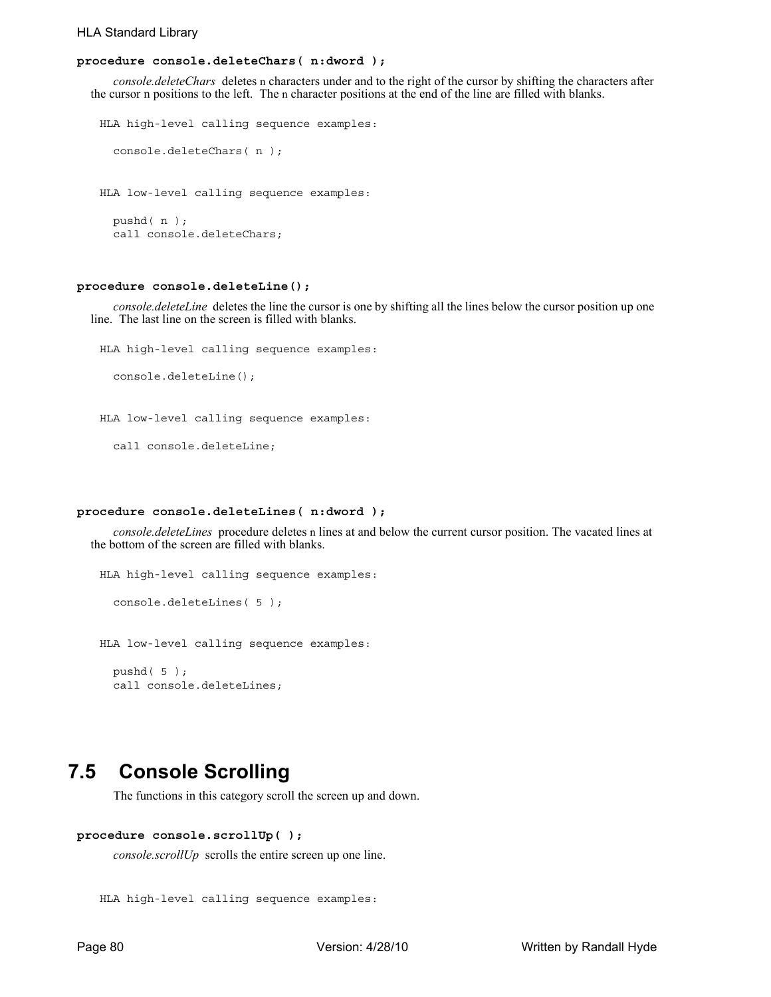### HLA Standard Library

## **procedure console.deleteChars( n:dword );**

*console.deleteChars* deletes n characters under and to the right of the cursor by shifting the characters after the cursor n positions to the left. The n character positions at the end of the line are filled with blanks.

```
HLA high-level calling sequence examples:
  console.deleteChars( n );
HLA low-level calling sequence examples:
  pushd( n );
  call console.deleteChars;
```
#### **procedure console.deleteLine();**

*console.deleteLine* deletes the line the cursor is one by shifting all the lines below the cursor position up one line. The last line on the screen is filled with blanks.

```
HLA high-level calling sequence examples:
```
console.deleteLine();

HLA low-level calling sequence examples:

call console.deleteLine;

### **procedure console.deleteLines( n:dword );**

*console.deleteLines* procedure deletes n lines at and below the current cursor position. The vacated lines at the bottom of the screen are filled with blanks.

```
HLA high-level calling sequence examples:
  console.deleteLines( 5 );
HLA low-level calling sequence examples:
  pushd( 5 );
  call console.deleteLines;
```
## **7.5 Console Scrolling**

The functions in this category scroll the screen up and down.

## **procedure console.scrollUp( );**

*console.scrollUp* scrolls the entire screen up one line.

```
HLA high-level calling sequence examples:
```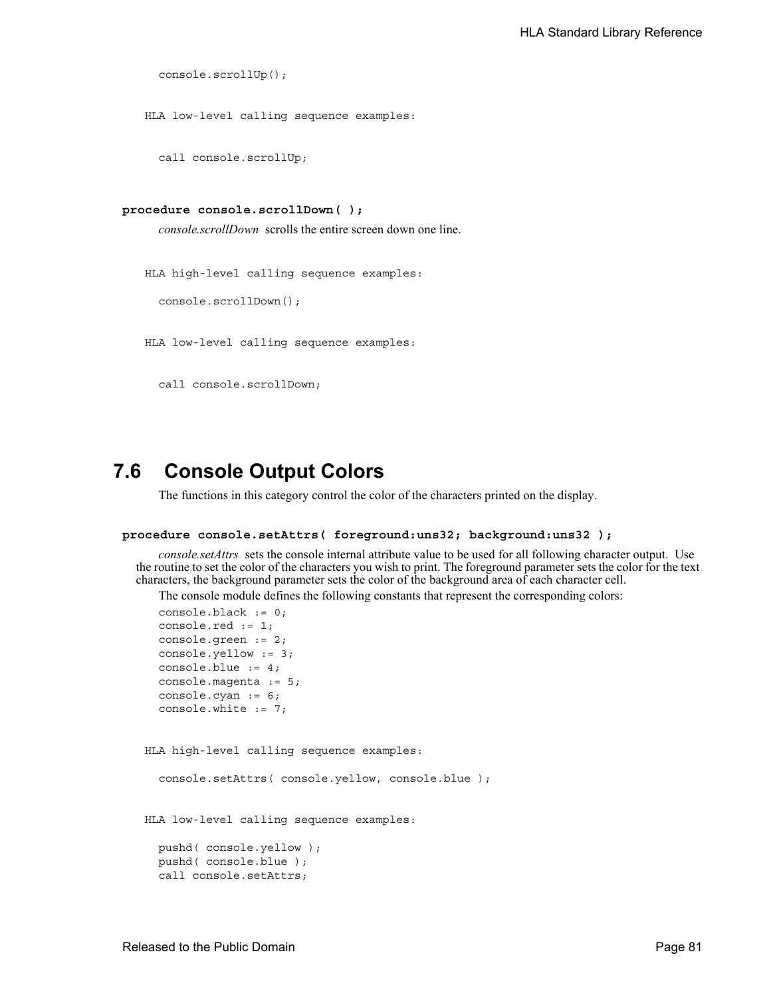```
console.scrollUp();
```
HLA low-level calling sequence examples:

call console.scrollUp;

```
procedure console.scrollDown( );
```
*console.scrollDown* scrolls the entire screen down one line.

HLA high-level calling sequence examples: console.scrollDown();

HLA low-level calling sequence examples:

call console.scrollDown;

## **7.6 Console Output Colors**

The functions in this category control the color of the characters printed on the display.

#### **procedure console.setAttrs( foreground:uns32; background:uns32 );**

*console.setAttrs* sets the console internal attribute value to be used for all following character output. Use the routine to set the color of the characters you wish to print. The foreground parameter sets the color for the text characters, the background parameter sets the color of the background area of each character cell.

The console module defines the following constants that represent the corresponding colors:

```
console.black := 0;
  console.red := 1;
  console.green := 2;
  console.yellow := 3;
  console.blue := 4;
  console.magenta := 5;
  console.cyan := 6;
  console.white := 7;
HLA high-level calling sequence examples:
  console.setAttrs( console.yellow, console.blue );
HLA low-level calling sequence examples:
  pushd( console.yellow );
  pushd( console.blue );
  call console.setAttrs;
```